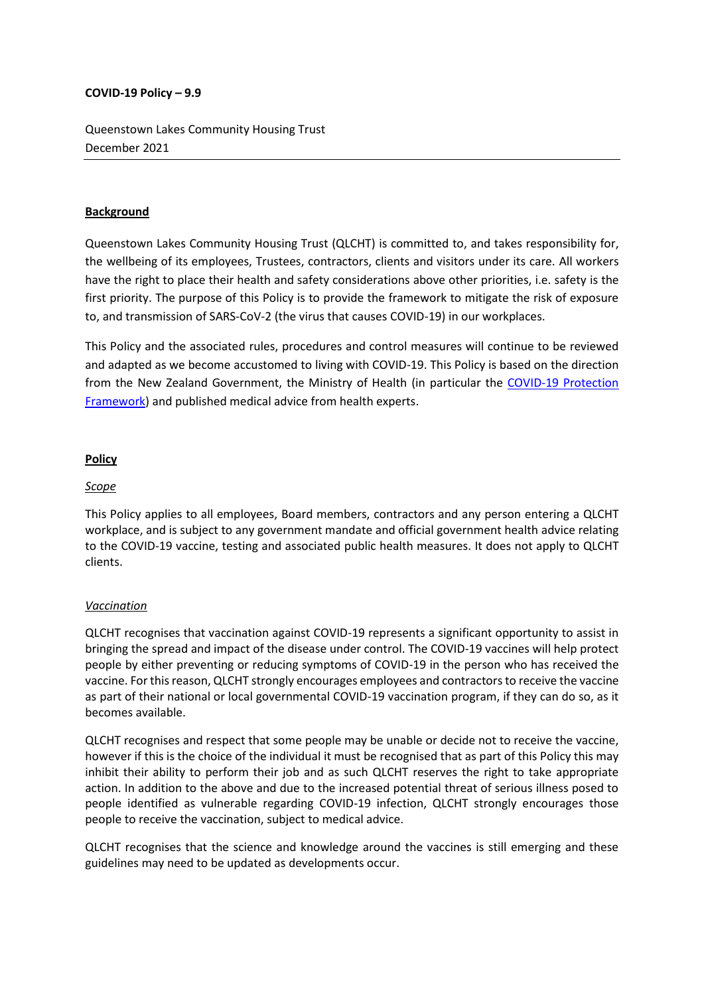### **COVID-19 Policy – 9.9**

Queenstown Lakes Community Housing Trust December 2021

#### **Background**

Queenstown Lakes Community Housing Trust (QLCHT) is committed to, and takes responsibility for, the wellbeing of its employees, Trustees, contractors, clients and visitors under its care. All workers have the right to place their health and safety considerations above other priorities, i.e. safety is the first priority. The purpose of this Policy is to provide the framework to mitigate the risk of exposure to, and transmission of SARS-CoV-2 (the virus that causes COVID-19) in our workplaces.

This Policy and the associated rules, procedures and control measures will continue to be reviewed and adapted as we become accustomed to living with COVID-19. This Policy is based on the direction from the New Zealand Government, the Ministry of Health (in particular the [COVID-19 Protection](https://covid19.govt.nz/?gclid=Cj0KCQiAtJeNBhCVARIsANJUJ2Encw-y24s9oKMfHeWL98Ym-JlZxDrFkzaPWr1fkdEw9-dvvo4HYI0aAl_7EALw_wcB)  [Framework\)](https://covid19.govt.nz/?gclid=Cj0KCQiAtJeNBhCVARIsANJUJ2Encw-y24s9oKMfHeWL98Ym-JlZxDrFkzaPWr1fkdEw9-dvvo4HYI0aAl_7EALw_wcB) and published medical advice from health experts.

#### **Policy**

#### *Scope*

This Policy applies to all employees, Board members, contractors and any person entering a QLCHT workplace, and is subject to any government mandate and official government health advice relating to the COVID-19 vaccine, testing and associated public health measures. It does not apply to QLCHT clients.

### *Vaccination*

QLCHT recognises that vaccination against COVID-19 represents a significant opportunity to assist in bringing the spread and impact of the disease under control. The COVID-19 vaccines will help protect people by either preventing or reducing symptoms of COVID-19 in the person who has received the vaccine. For this reason, QLCHT strongly encourages employees and contractors to receive the vaccine as part of their national or local governmental COVID-19 vaccination program, if they can do so, as it becomes available.

QLCHT recognises and respect that some people may be unable or decide not to receive the vaccine, however if this is the choice of the individual it must be recognised that as part of this Policy this may inhibit their ability to perform their job and as such QLCHT reserves the right to take appropriate action. In addition to the above and due to the increased potential threat of serious illness posed to people identified as vulnerable regarding COVID-19 infection, QLCHT strongly encourages those people to receive the vaccination, subject to medical advice.

QLCHT recognises that the science and knowledge around the vaccines is still emerging and these guidelines may need to be updated as developments occur.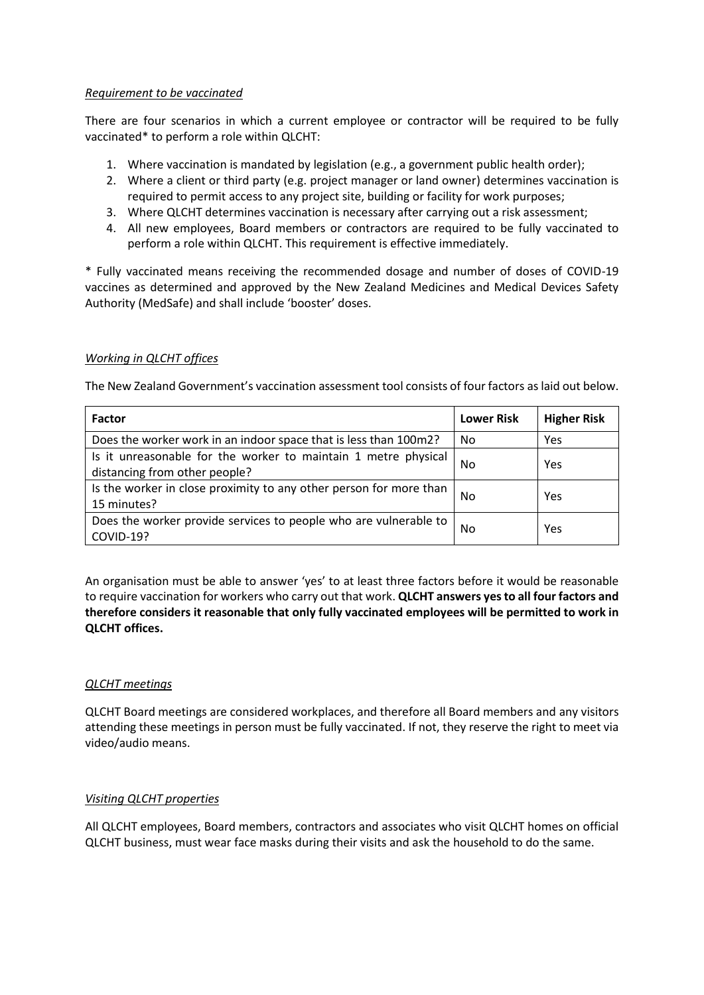### *Requirement to be vaccinated*

There are four scenarios in which a current employee or contractor will be required to be fully vaccinated\* to perform a role within QLCHT:

- 1. Where vaccination is mandated by legislation (e.g., a government public health order);
- 2. Where a client or third party (e.g. project manager or land owner) determines vaccination is required to permit access to any project site, building or facility for work purposes;
- 3. Where QLCHT determines vaccination is necessary after carrying out a risk assessment;
- 4. All new employees, Board members or contractors are required to be fully vaccinated to perform a role within QLCHT. This requirement is effective immediately.

\* Fully vaccinated means receiving the recommended dosage and number of doses of COVID-19 vaccines as determined and approved by the New Zealand Medicines and Medical Devices Safety Authority (MedSafe) and shall include 'booster' doses.

## *Working in QLCHT offices*

The New Zealand Government's vaccination assessment tool consists of four factors as laid out below.

| <b>Factor</b>                                                                                   | <b>Lower Risk</b> | <b>Higher Risk</b> |
|-------------------------------------------------------------------------------------------------|-------------------|--------------------|
| Does the worker work in an indoor space that is less than 100m2?                                | No.               | Yes                |
| Is it unreasonable for the worker to maintain 1 metre physical<br>distancing from other people? | No                | Yes                |
| Is the worker in close proximity to any other person for more than<br>15 minutes?               | No                | Yes                |
| Does the worker provide services to people who are vulnerable to<br><b>COVID-19?</b>            | No                | Yes                |

An organisation must be able to answer 'yes' to at least three factors before it would be reasonable to require vaccination for workers who carry out that work. **QLCHT answers yes to all four factors and therefore considers it reasonable that only fully vaccinated employees will be permitted to work in QLCHT offices.**

### *QLCHT meetings*

QLCHT Board meetings are considered workplaces, and therefore all Board members and any visitors attending these meetings in person must be fully vaccinated. If not, they reserve the right to meet via video/audio means.

### *Visiting QLCHT properties*

All QLCHT employees, Board members, contractors and associates who visit QLCHT homes on official QLCHT business, must wear face masks during their visits and ask the household to do the same.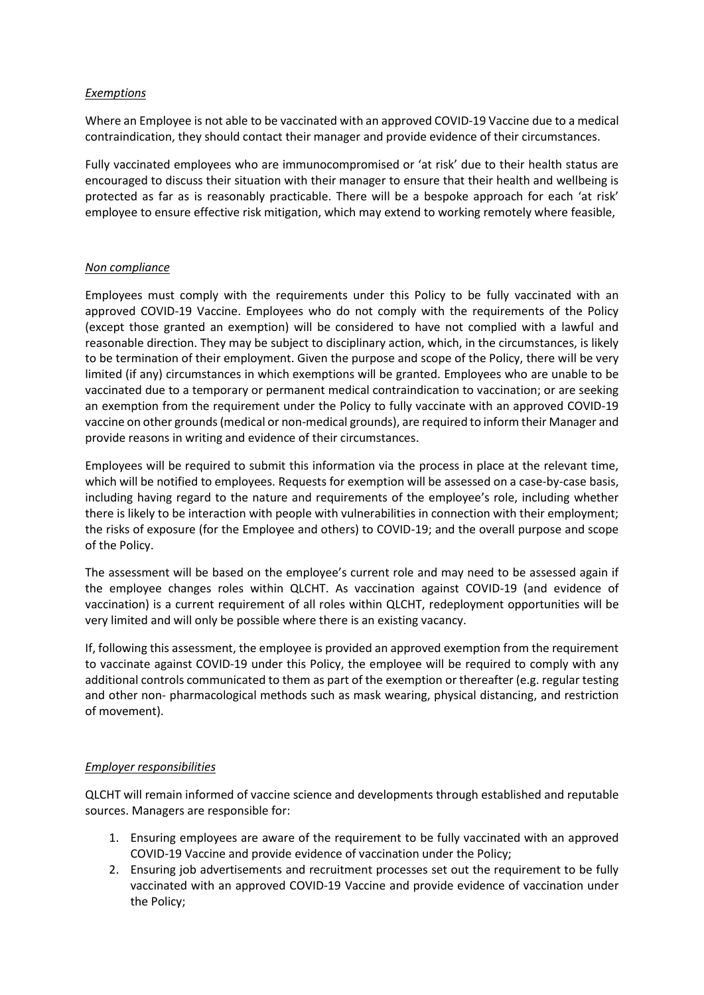### *Exemptions*

Where an Employee is not able to be vaccinated with an approved COVID-19 Vaccine due to a medical contraindication, they should contact their manager and provide evidence of their circumstances.

Fully vaccinated employees who are immunocompromised or 'at risk' due to their health status are encouraged to discuss their situation with their manager to ensure that their health and wellbeing is protected as far as is reasonably practicable. There will be a bespoke approach for each 'at risk' employee to ensure effective risk mitigation, which may extend to working remotely where feasible,

## *Non compliance*

Employees must comply with the requirements under this Policy to be fully vaccinated with an approved COVID-19 Vaccine. Employees who do not comply with the requirements of the Policy (except those granted an exemption) will be considered to have not complied with a lawful and reasonable direction. They may be subject to disciplinary action, which, in the circumstances, is likely to be termination of their employment. Given the purpose and scope of the Policy, there will be very limited (if any) circumstances in which exemptions will be granted. Employees who are unable to be vaccinated due to a temporary or permanent medical contraindication to vaccination; or are seeking an exemption from the requirement under the Policy to fully vaccinate with an approved COVID-19 vaccine on other grounds (medical or non-medical grounds), are required to inform their Manager and provide reasons in writing and evidence of their circumstances.

Employees will be required to submit this information via the process in place at the relevant time, which will be notified to employees. Requests for exemption will be assessed on a case-by-case basis, including having regard to the nature and requirements of the employee's role, including whether there is likely to be interaction with people with vulnerabilities in connection with their employment; the risks of exposure (for the Employee and others) to COVID-19; and the overall purpose and scope of the Policy.

The assessment will be based on the employee's current role and may need to be assessed again if the employee changes roles within QLCHT. As vaccination against COVID-19 (and evidence of vaccination) is a current requirement of all roles within QLCHT, redeployment opportunities will be very limited and will only be possible where there is an existing vacancy.

If, following this assessment, the employee is provided an approved exemption from the requirement to vaccinate against COVID-19 under this Policy, the employee will be required to comply with any additional controls communicated to them as part of the exemption or thereafter (e.g. regular testing and other non- pharmacological methods such as mask wearing, physical distancing, and restriction of movement).

### *Employer responsibilities*

QLCHT will remain informed of vaccine science and developments through established and reputable sources. Managers are responsible for:

- 1. Ensuring employees are aware of the requirement to be fully vaccinated with an approved COVID-19 Vaccine and provide evidence of vaccination under the Policy;
- 2. Ensuring job advertisements and recruitment processes set out the requirement to be fully vaccinated with an approved COVID-19 Vaccine and provide evidence of vaccination under the Policy;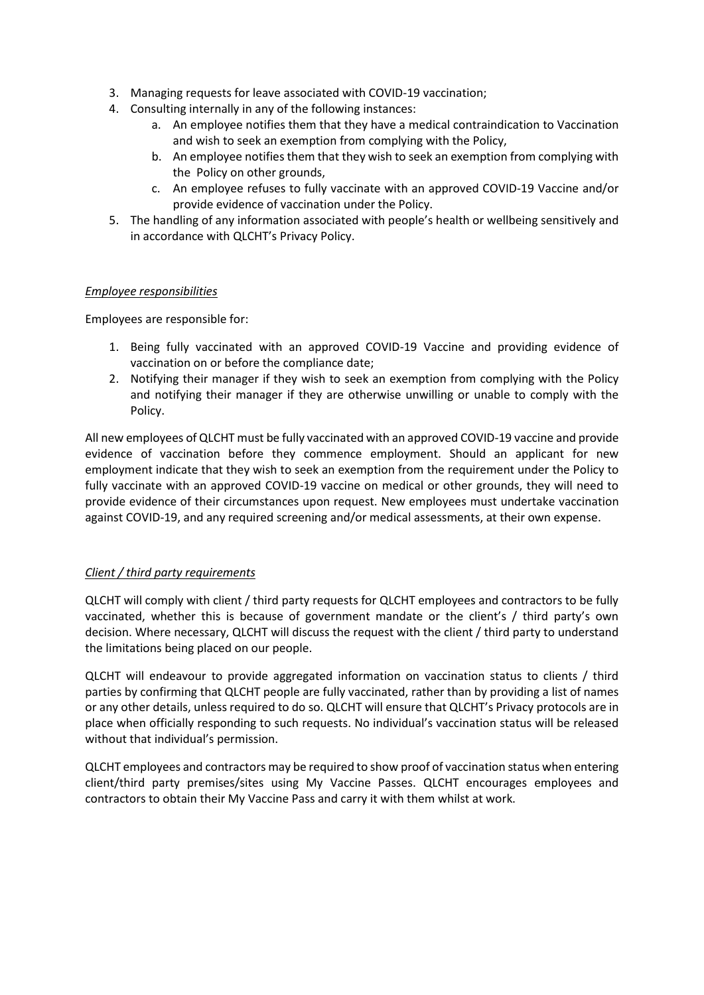- 3. Managing requests for leave associated with COVID-19 vaccination;
- 4. Consulting internally in any of the following instances:
	- a. An employee notifies them that they have a medical contraindication to Vaccination and wish to seek an exemption from complying with the Policy,
	- b. An employee notifies them that they wish to seek an exemption from complying with the Policy on other grounds,
	- c. An employee refuses to fully vaccinate with an approved COVID-19 Vaccine and/or provide evidence of vaccination under the Policy.
- 5. The handling of any information associated with people's health or wellbeing sensitively and in accordance with QLCHT's Privacy Policy.

## *Employee responsibilities*

Employees are responsible for:

- 1. Being fully vaccinated with an approved COVID-19 Vaccine and providing evidence of vaccination on or before the compliance date;
- 2. Notifying their manager if they wish to seek an exemption from complying with the Policy and notifying their manager if they are otherwise unwilling or unable to comply with the Policy.

All new employees of QLCHT must be fully vaccinated with an approved COVID-19 vaccine and provide evidence of vaccination before they commence employment. Should an applicant for new employment indicate that they wish to seek an exemption from the requirement under the Policy to fully vaccinate with an approved COVID-19 vaccine on medical or other grounds, they will need to provide evidence of their circumstances upon request. New employees must undertake vaccination against COVID-19, and any required screening and/or medical assessments, at their own expense.

# *Client / third party requirements*

QLCHT will comply with client / third party requests for QLCHT employees and contractors to be fully vaccinated, whether this is because of government mandate or the client's / third party's own decision. Where necessary, QLCHT will discuss the request with the client / third party to understand the limitations being placed on our people.

QLCHT will endeavour to provide aggregated information on vaccination status to clients / third parties by confirming that QLCHT people are fully vaccinated, rather than by providing a list of names or any other details, unless required to do so. QLCHT will ensure that QLCHT's Privacy protocols are in place when officially responding to such requests. No individual's vaccination status will be released without that individual's permission.

QLCHT employees and contractors may be required to show proof of vaccination status when entering client/third party premises/sites using My Vaccine Passes. QLCHT encourages employees and contractors to obtain their My Vaccine Pass and carry it with them whilst at work.